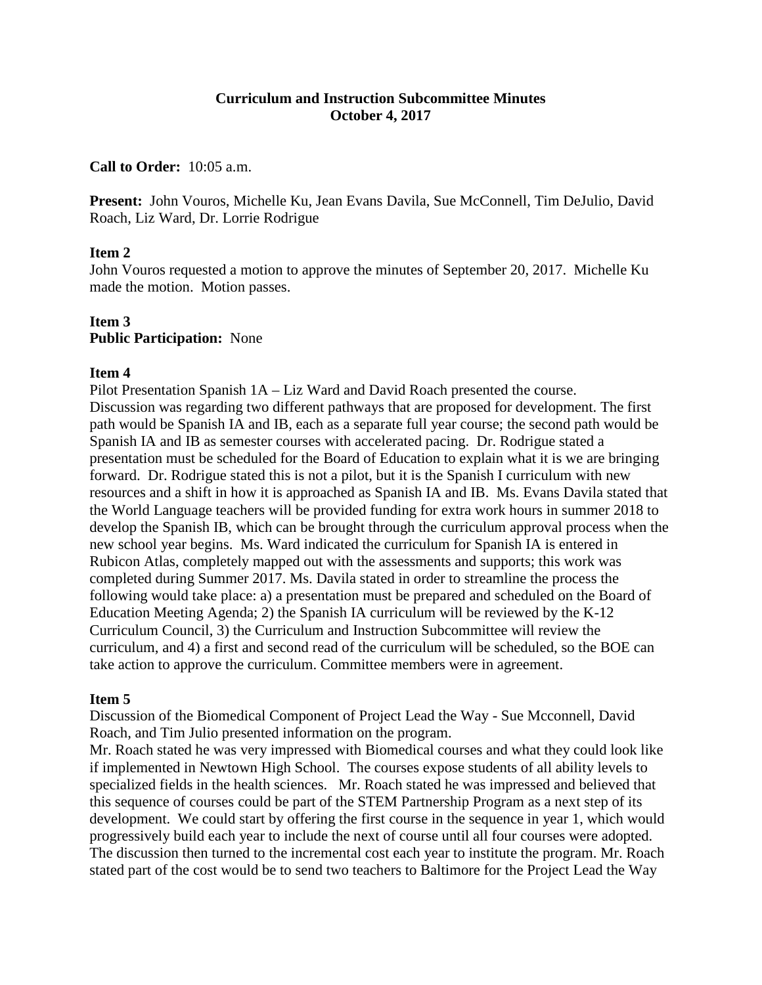## **Curriculum and Instruction Subcommittee Minutes October 4, 2017**

## **Call to Order:** 10:05 a.m.

**Present:** John Vouros, Michelle Ku, Jean Evans Davila, Sue McConnell, Tim DeJulio, David Roach, Liz Ward, Dr. Lorrie Rodrigue

## **Item 2**

John Vouros requested a motion to approve the minutes of September 20, 2017. Michelle Ku made the motion. Motion passes.

## **Item 3 Public Participation:** None

#### **Item 4**

Pilot Presentation Spanish 1A – Liz Ward and David Roach presented the course. Discussion was regarding two different pathways that are proposed for development. The first path would be Spanish IA and IB, each as a separate full year course; the second path would be Spanish IA and IB as semester courses with accelerated pacing. Dr. Rodrigue stated a presentation must be scheduled for the Board of Education to explain what it is we are bringing forward. Dr. Rodrigue stated this is not a pilot, but it is the Spanish I curriculum with new resources and a shift in how it is approached as Spanish IA and IB. Ms. Evans Davila stated that the World Language teachers will be provided funding for extra work hours in summer 2018 to develop the Spanish IB, which can be brought through the curriculum approval process when the new school year begins. Ms. Ward indicated the curriculum for Spanish IA is entered in Rubicon Atlas, completely mapped out with the assessments and supports; this work was completed during Summer 2017. Ms. Davila stated in order to streamline the process the following would take place: a) a presentation must be prepared and scheduled on the Board of Education Meeting Agenda; 2) the Spanish IA curriculum will be reviewed by the K-12 Curriculum Council, 3) the Curriculum and Instruction Subcommittee will review the curriculum, and 4) a first and second read of the curriculum will be scheduled, so the BOE can take action to approve the curriculum. Committee members were in agreement.

#### **Item 5**

Discussion of the Biomedical Component of Project Lead the Way - Sue Mcconnell, David Roach, and Tim Julio presented information on the program.

Mr. Roach stated he was very impressed with Biomedical courses and what they could look like if implemented in Newtown High School. The courses expose students of all ability levels to specialized fields in the health sciences. Mr. Roach stated he was impressed and believed that this sequence of courses could be part of the STEM Partnership Program as a next step of its development. We could start by offering the first course in the sequence in year 1, which would progressively build each year to include the next of course until all four courses were adopted. The discussion then turned to the incremental cost each year to institute the program. Mr. Roach stated part of the cost would be to send two teachers to Baltimore for the Project Lead the Way